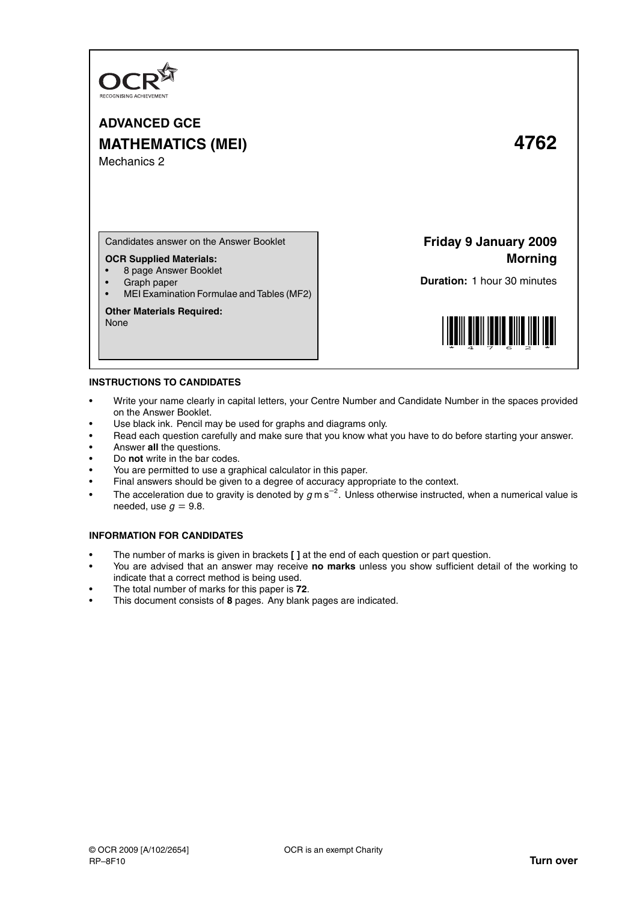

**ADVANCED GCE MATHEMATICS (MEI) 4762** Mechanics 2

Candidates answer on the Answer Booklet

### **OCR Supplied Materials:**

- 8 page Answer Booklet
- Graph paper
- MEI Examination Formulae and Tables (MF2)

#### **Other Materials Required:** None



**Friday 9 January 2009**

**Duration:** 1 hour 30 minutes

\*\*44776622\*\*

**Morning**

# **INSTRUCTIONS TO CANDIDATES**

- Write your name clearly in capital letters, your Centre Number and Candidate Number in the spaces provided on the Answer Booklet.
- Use black ink. Pencil may be used for graphs and diagrams only.
- Read each question carefully and make sure that you know what you have to do before starting your answer.
- Answer **all** the questions.
- Do **not** write in the bar codes.
- You are permitted to use a graphical calculator in this paper.
- Final answers should be given to a degree of accuracy appropriate to the context.
- The acceleration due to gravity is denoted by  $g$  m s<sup>-2</sup>. Unless otherwise instructed, when a numerical value is needed, use  $q = 9.8$ .

#### **INFORMATION FOR CANDIDATES**

- The number of marks is given in brackets **[ ]** at the end of each question or part question.
- You are advised that an answer may receive **no marks** unless you show sufficient detail of the working to indicate that a correct method is being used.
- The total number of marks for this paper is **72**.
- This document consists of **8** pages. Any blank pages are indicated.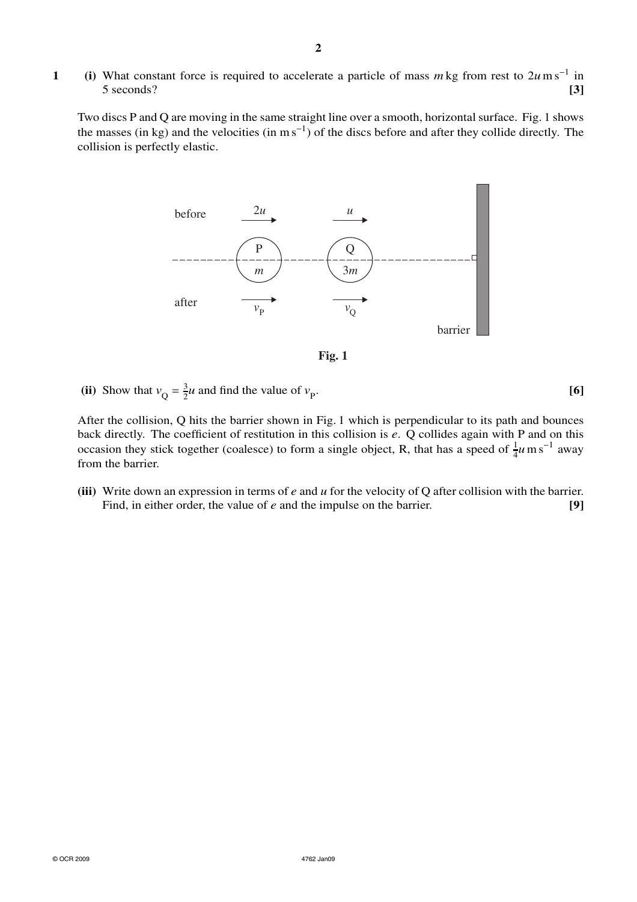**1 (i)** What constant force is required to accelerate a particle of mass *m* kg from rest to 2*u*m s<sup>−</sup><sup>1</sup> in 5 seconds? **[3]**

Two discs P and Q are moving in the same straight line over a smooth, horizontal surface. Fig. 1 shows the masses (in kg) and the velocities (in m s<sup>-1</sup>) of the discs before and after they collide directly. The collision is perfectly elastic.





(ii) Show that  $v_Q = \frac{3}{2}$  $\frac{3}{2}u$  and find the value of  $v_{\rm p}$ . **[6]**

After the collision, Q hits the barrier shown in Fig. 1 which is perpendicular to its path and bounces back directly. The coefficient of restitution in this collision is *e*. Q collides again with P and on this occasion they stick together (coalesce) to form a single object, R, that has a speed of  $\frac{1}{4}u$  m s<sup>-1</sup> away from the barrier.

**(iii)** Write down an expression in terms of *e* and *u* for the velocity of Q after collision with the barrier. Find, in either order, the value of *e* and the impulse on the barrier. **[9]**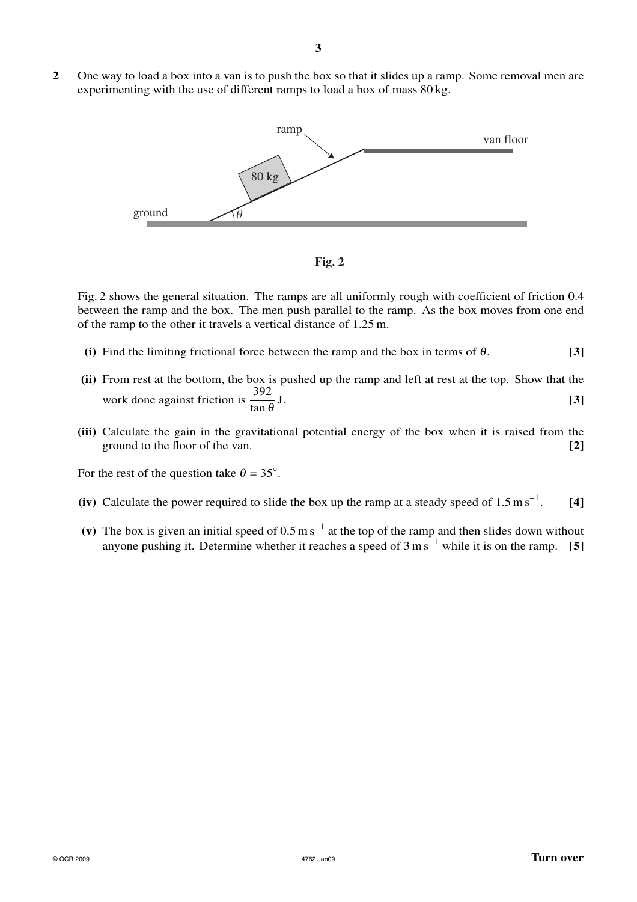**2** One way to load a box into a van is to push the box so that it slides up a ramp. Some removal men are experimenting with the use of different ramps to load a box of mass 80 kg.



**Fig. 2**

Fig. 2 shows the general situation. The ramps are all uniformly rough with coefficient of friction 0.4 between the ramp and the box. The men push parallel to the ramp. As the box moves from one end of the ramp to the other it travels a vertical distance of 1.25 m.

- **(i)** Find the limiting frictional force between the ramp and the box in terms of <sup>θ</sup>. **[3]**
- **(ii)** From rest at the bottom, the box is pushed up the ramp and left at rest at the top. Show that the work done against friction is  $\frac{392}{\tan \theta}$ J. **[3]**
- **(iii)** Calculate the gain in the gravitational potential energy of the box when it is raised from the ground to the floor of the van. **[2]**

For the rest of the question take  $\theta = 35^\circ$ .

- (iv) Calculate the power required to slide the box up the ramp at a steady speed of  $1.5 \text{ m s}^{-1}$ . . **[4]**
- (v) The box is given an initial speed of  $0.5 \text{ m s}^{-1}$  at the top of the ramp and then slides down without anyone pushing it. Determine whether it reaches a speed of 3 m s<sup>-1</sup> while it is on the ramp. [5]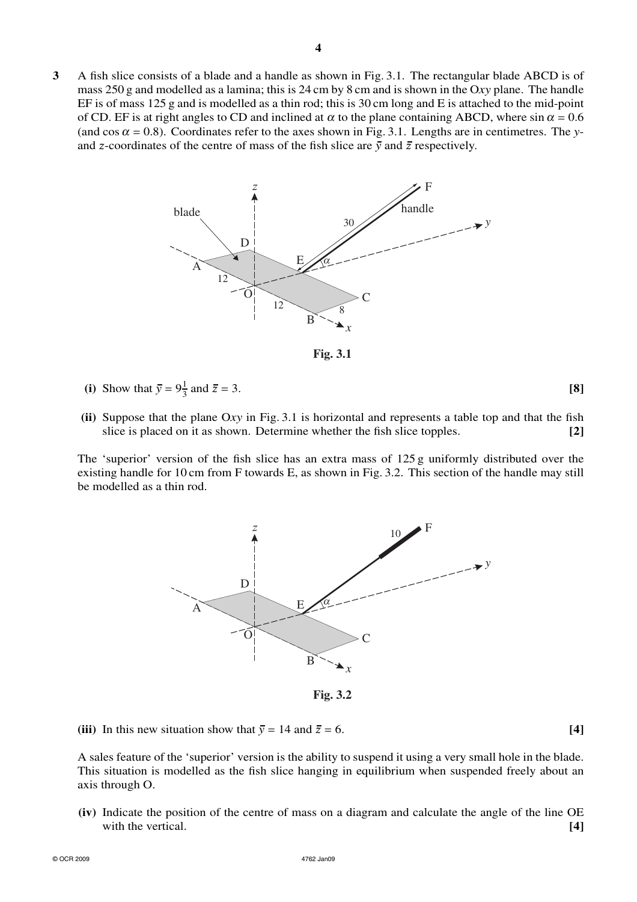**3** A fish slice consists of a blade and a handle as shown in Fig. 3.1. The rectangular blade ABCD is of mass 250 g and modelled as a lamina; this is 24 cm by 8 cm and is shown in the O*xy* plane. The handle EF is of mass  $125$  g and is modelled as a thin rod; this is 30 cm long and E is attached to the mid-point of CD. EF is at right angles to CD and inclined at  $\alpha$  to the plane containing ABCD, where  $\sin \alpha = 0.6$ (and cos  $\alpha = 0.8$ ). Coordinates refer to the axes shown in Fig. 3.1. Lengths are in centimetres. The *y*and z-coordinates of the centre of mass of the fish slice are  $\bar{y}$  and  $\bar{z}$  respectively.



**Fig. 3.1**

- (i) Show that  $\overline{y} = 9\frac{1}{3}$  $\frac{1}{3}$  and  $\bar{z} = 3$ . [8]
- **(ii)** Suppose that the plane O*xy* in Fig. 3.1 is horizontal and represents a table top and that the fish slice is placed on it as shown. Determine whether the fish slice topples. **[2]**

The 'superior' version of the fish slice has an extra mass of 125 g uniformly distributed over the existing handle for 10 cm from F towards E, as shown in Fig. 3.2. This section of the handle may still be modelled as a thin rod.



**Fig. 3.2**

(iii) In this new situation show that  $\bar{y} = 14$  and  $\bar{z} = 6$ . [4]

A sales feature of the 'superior' version is the ability to suspend it using a very small hole in the blade. This situation is modelled as the fish slice hanging in equilibrium when suspended freely about an axis through O.

**(iv)** Indicate the position of the centre of mass on a diagram and calculate the angle of the line OE with the vertical. **[4]**  $\qquad \qquad$  [4]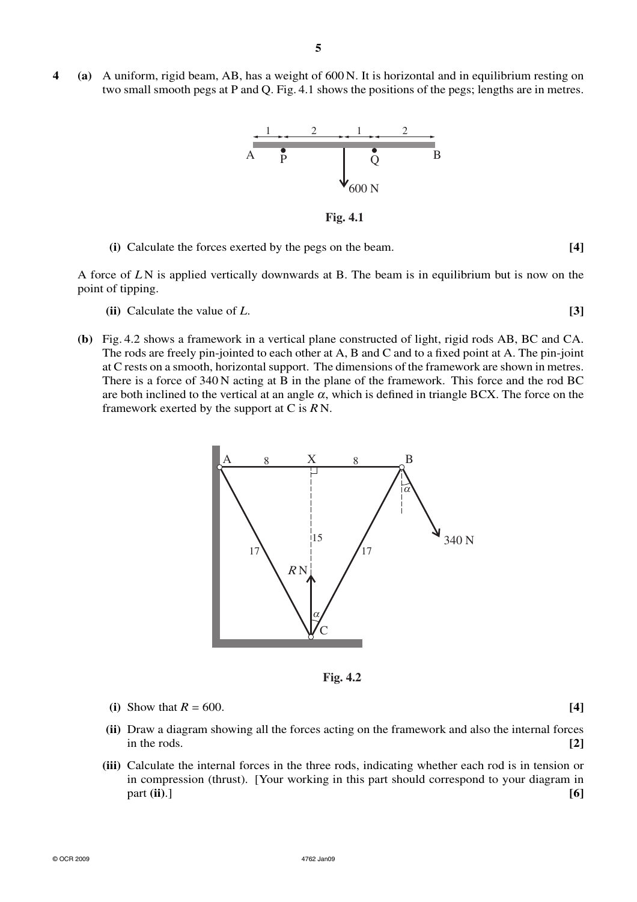**4 (a)** A uniform, rigid beam, AB, has a weight of 600 N. It is horizontal and in equilibrium resting on two small smooth pegs at P and Q. Fig. 4.1 shows the positions of the pegs; lengths are in metres.



**Fig. 4.1**

**(i)** Calculate the forces exerted by the pegs on the beam. **[4]**

A force of *L* N is applied vertically downwards at B. The beam is in equilibrium but is now on the point of tipping.

- **(ii)** Calculate the value of *L*. **[3]**
- **(b)** Fig. 4.2 shows a framework in a vertical plane constructed of light, rigid rods AB, BC and CA. The rods are freely pin-jointed to each other at A, B and C and to a fixed point at A. The pin-joint at C rests on a smooth, horizontal support. The dimensions of the framework are shown in metres. There is a force of 340 N acting at B in the plane of the framework. This force and the rod BC are both inclined to the vertical at an angle  $\alpha$ , which is defined in triangle BCX. The force on the framework exerted by the support at C is *R* N.



**Fig. 4.2**

- **(i)** Show that  $R = 600$ . [4]
- **(ii)** Draw a diagram showing all the forces acting on the framework and also the internal forces in the rods. **[2]**
- **(iii)** Calculate the internal forces in the three rods, indicating whether each rod is in tension or in compression (thrust). [Your working in this part should correspond to your diagram in part **(ii)**.] **[6]**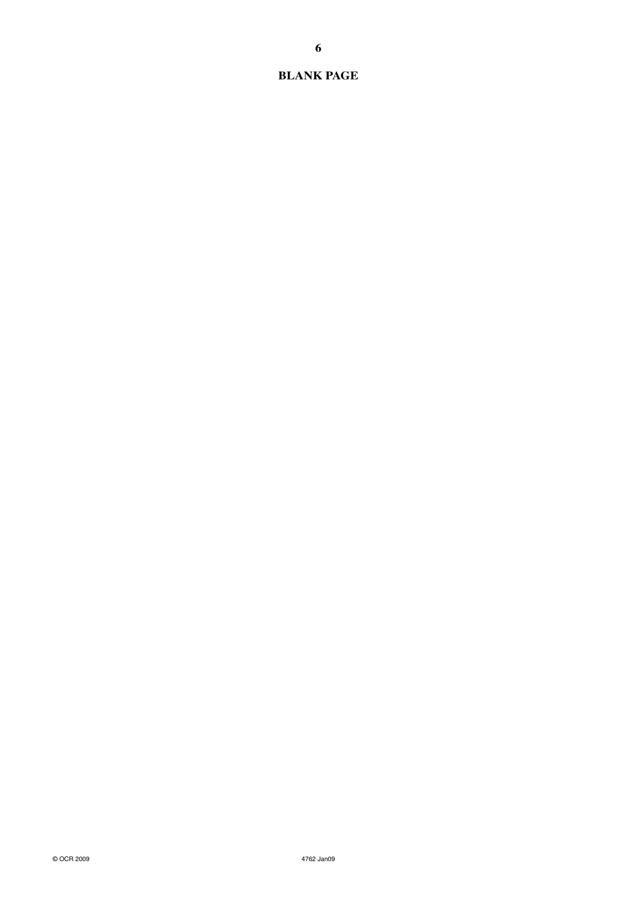## **BLANK PAGE**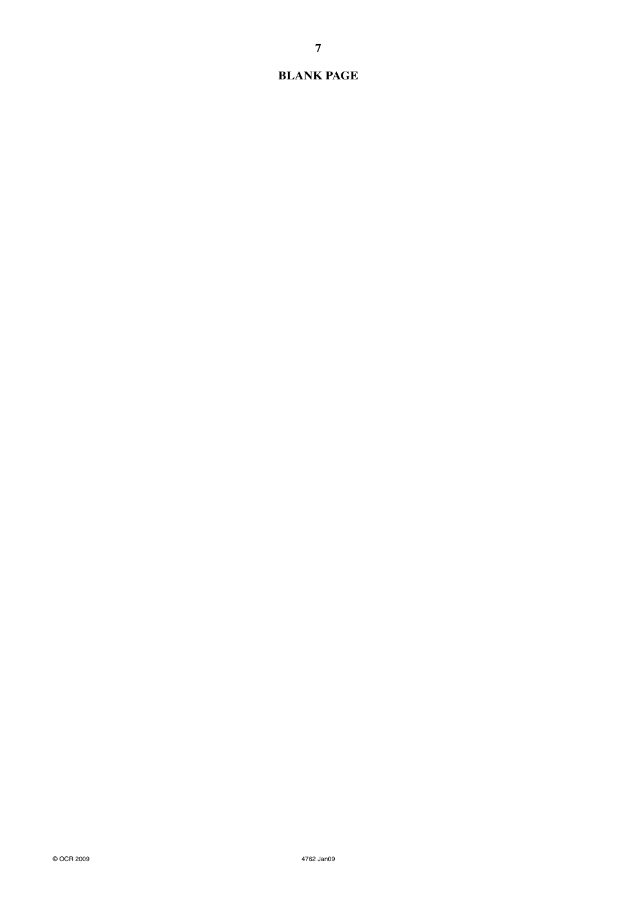## **BLANK PAGE**